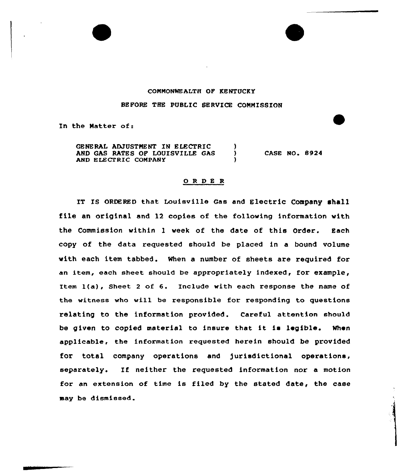#### COMMONWEAITH OF KENTUCKY

### BEFORE THE PUBLIC SERVICE COMMISSION

In the Matter of:

GENERAL ADJUSTMENT IN ELECTRIC (1)<br>AND GAS RATES OF LOUISVILLE GAS (1) AND GAS RATES OF LOUISVILLE GAS AND ELECTRIC COMPANY

**CASE NO. 8924** 

### ORDER

IT IS ORDERED that Louisville Gas and Electric Company shall file an original and 12 copies of the following information with the Commission within 1 week of the date of this Order. Each copy of the data requested should be placed in a bound volume with each item tabbed. When a number of sheets are required for an item, each sheet should be appropriately indexed, for example, Item l(a), Sheet <sup>2</sup> of 6. Include with each response the name of the witness who will be responsible for responding to questions relating to the information provided. Careful attention should be given to copied material to insure that it is legible. When applicable, the information requested herein should be provided for total company operations and )urisdictional operations, separately. If neither the requested information nor <sup>a</sup> motion for an extension of time is filed by the stated date, the case may be dismissed.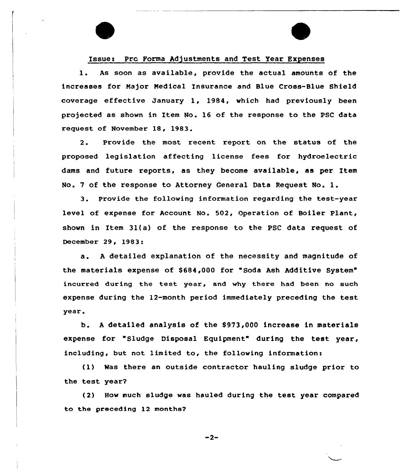#### Issues Prc Forma Adjustments and Test Year Expenses

l. As soon as available, provide the actual amounts of the increases for Major Medical Insurance and Blue Cross-Blue Shield coverage effective January 1, 1984, which had previously been projected as shown in Item No. 16 of the response to the PSC data request of November 18, 1983.

2. Provide the most recent report on the status of the proposed legislation affecting license fees for hydroelectric dams and future reports, as they become available, as per Item No. <sup>7</sup> of the response to Attorney General Data Request No. l.

3. Provide the following information regarding the test-year level of expense for Account No. 502, Operation of Boiler Plant, shown in Item 31(a) of the response to the PSC data request of December 29, 1983:

a. <sup>A</sup> detailed explanation of the necessity and magnitude of the materials expense of S684,000 for "Soda Ash Additive System" incurred during the test year, and why there had been no such expense during the 12-month period immediately preceding the test year.

b. <sup>A</sup> detailed analysis of the 8973,000 increase in materials expense for "Sludge Disposal Equipment" during the test year, including, but not limited to, the following information:

(1) Was there an outside contractor hauling sludge prior to the test year?

(2) How much sludge was hauled during the test year compared to the preceding 12 months?

 $-2-$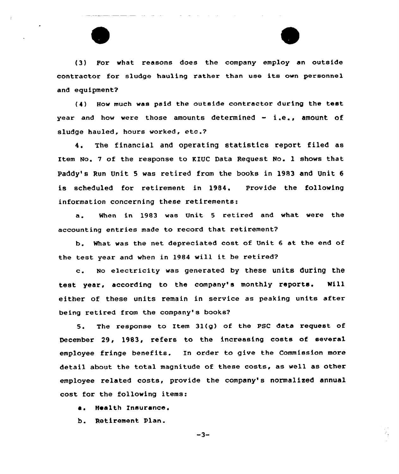

(3) For what reasons does the company employ an outside contractor for sludge hauling rather than use its own personnel and equipment?

(4) How much was paid the outside contractor during the test year and how were those amounts determined - i.e., amount of sludge hauled, hours worked, etc.?

4. The financial and operating statistics report filed as Item No. 7 of the response to KIUC Data Request Ho. 1 shows that Paddy's Run Unit 5 was retired from the books in 1983 and Unit 6 is scheduled for retirement in 1984. Provide the following information concerning these retirements:

a. When in 1983 was Unit <sup>5</sup> retired and what were the accounting entries made to record that retirement?

b. What was the net depreciated cost of Unit 6 at the end of the test year and when in 1984 will it be retired?

c. No electricity was generated by these units during the test year, according to the company's monthly reports. Mill either of these units remain in service as peaking units after being retired from the company's books?

5. The response to Item 31(g) of the PSC data request of December 29, l983, refers to the increasing costs of several employee fringe benefits. In order to give the Commission more detail about the total magnitude of these costs, as well as other employee related costs, provide the company's normalized annual cost for the following items:

- a. Health Insurance.
- b. Retirement Plan.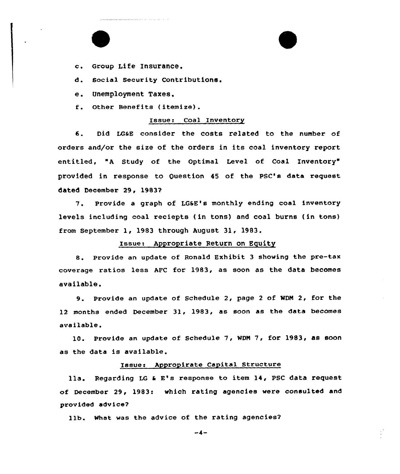c. Group Life Insurance.

d. Social security Contributions.

e. Unemployment Taxes.

f. Other Benefits ( itemize).

### Issue: Coal Inventory

6. Did LGaE consider the costs related to the number of orders and/or the size of the orders in its coal inventory report entitled, "A Study of the Optimal Level of Coal Inventory" provided in response to Question 45 of the PSC's data request dated December 29, 1983?

7. Provide <sup>a</sup> graph of LGSE's monthly ending coal inventory levels including coal reciepts (in tons) and coal burns (in tons) from September 1, 1983 through August 31, 1983.

### Issue: Appropriate Return on Equity

8. Provide an update of Ronald Exhibit <sup>3</sup> showing the pre-tax coverage ratios less AFC for 1983, as soon as the data becomes available.

9. Provide an update of Schedule 2, page 2 of WDM 2, for the 12 months ended December 31, 1983, as soon as the data becomes available.

10. Provide an update of Schedule 7, WDM 7, for 1983, as soon as the data is available.

## Issue: Appropirate Capital Structure

lla. Regarding LG & E's response to item 14, PSC data request of December 29, 1983: which rating agencies were consulted and provided advice?

lib. What was the advice of the rating agencies?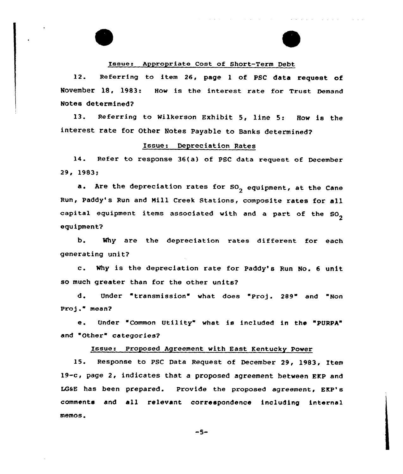### Is8ue: Appropriate Cost of Short-Term Debt

and a series

12. Referring to item 26, page <sup>1</sup> of PSC data request of November 18, 1983: How is the interest rate for Trust Demand Notes determined?

13. Referring to Wilkerson Exhibit 5, line 5: How is the interest rate for Other Notes Payable to Banks determined?

# Issue: Depreciation Rates

14. Refer to response 36(a) of PSC data request of December 29, 1983;

a. Are the depreciation rates for  $SO<sub>2</sub>$  equipment, at the Cane Run, Paddy's Run and Mill Creek Stations, composite xates for all capital equipment items associated with and a part of the  $SO_{2}$ equipment?

b. Why are the depreciation rates different for each generating unit?

c. Why is the depreciation rate for Paddy's Run No. <sup>6</sup> unit so much greater than for the other units?

d. Under "transmission" what does "Proj. 289" and "Non Proj." mean?

e. Under Common Utility" what is included in the "PURPA" and "Other" categories?

# Issue: Proposed Agreement with East Kentucky Power

15. Response to PSC Data Request of December 29, 1983, Item 19-c, page 2, indicates that a proposed agreement between EKp and LG&E has been prepared. Provide the proposed agreement, EKP's comments and all relevant correspondence including internal memos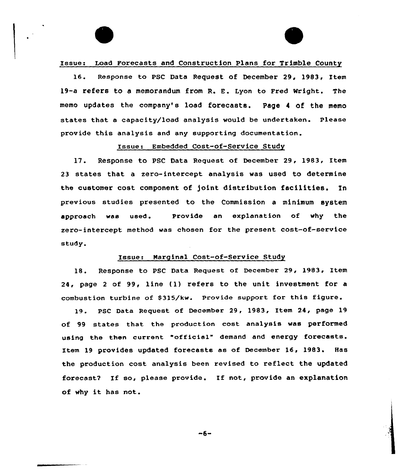Issue: Load Forecasts and Construction Plans for Trimble County

16. Response to PSC Data Request of December 29, 1983, Item 19-a refers to a memorandum from R. E. Lyon to Fred wright. The memo updates the company's load forecasts. Page 4 of the memo states that a capacity/load analysis would be undertaken. Please provide this analysis and any supporting documentation.

Issue: Embedded Cost-of-Service Study

17. Response to pSC Data Request of December 29, 1983, 1tem 23 states that a zero-intercept analysis was used to determine the customer cost component of joint distribution facilities. In previous studies presented to the Commission a minimum system approach was used. Provide an explanation of why the zero-intercept method was chosen for the present cost-of-service study.

### Issues Marginal Cost-of-Service Study

18. Response to PSC Data Request of December 29, 1983, Item 24, page <sup>2</sup> of 99, line (1) refers to the unit investment for a combustion turbine of 8315/kv. Provide support for this figure.

19. PSC Data Request of December 29, 1983, Item 24, page 19 of 99 states that the production cost analysis was performed using the then current "official" demand and energy forecasts. Item 19 provides updated forecasts as of December 16, 1983. Has the production cost analysis been revised to reflect the updated forecast2 If so, please provide. If not, provide an explanation of why it has not.

 $-6-$